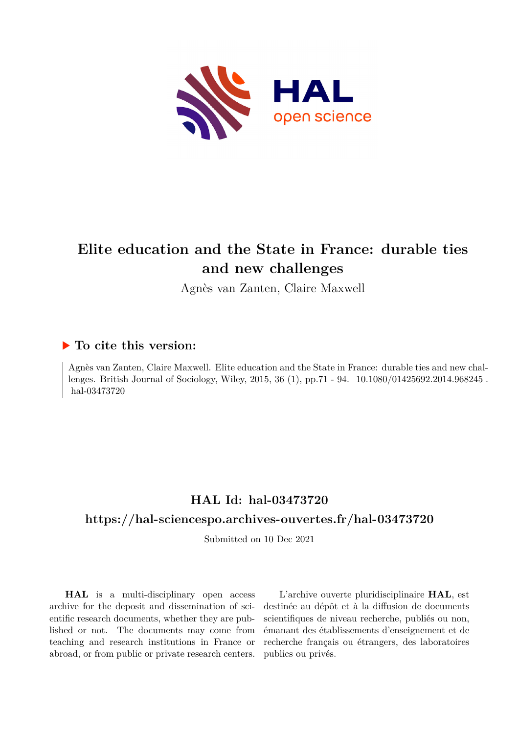

# **Elite education and the State in France: durable ties and new challenges**

Agnès van Zanten, Claire Maxwell

## **To cite this version:**

Agnès van Zanten, Claire Maxwell. Elite education and the State in France: durable ties and new challenges. British Journal of Sociology, Wiley, 2015, 36 (1), pp.71 - 94.  $10.1080/01425692.2014.968245$ . hal-03473720

## **HAL Id: hal-03473720 <https://hal-sciencespo.archives-ouvertes.fr/hal-03473720>**

Submitted on 10 Dec 2021

**HAL** is a multi-disciplinary open access archive for the deposit and dissemination of scientific research documents, whether they are published or not. The documents may come from teaching and research institutions in France or abroad, or from public or private research centers.

L'archive ouverte pluridisciplinaire **HAL**, est destinée au dépôt et à la diffusion de documents scientifiques de niveau recherche, publiés ou non, émanant des établissements d'enseignement et de recherche français ou étrangers, des laboratoires publics ou privés.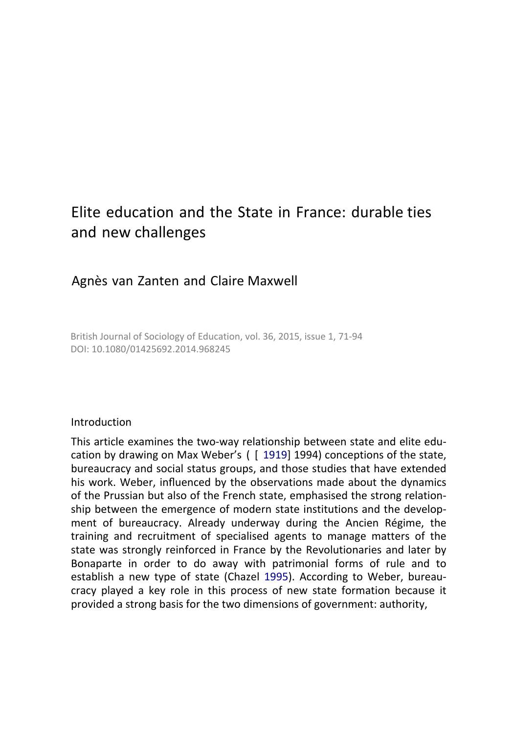## Elite education and the State in France: durable ties and new challenges

### Agnès van Zanten and Claire Maxwell

British Journal of Sociology of Education, vol. 36, 2015, issue 1, 71-94 DOI: 10.1080/01425692.2014.968245

#### Introduction

This article examines the two-way relationship between state and elite education by drawing on Max Weber's ( [ [1919](#page-24-0)] 1994) conceptions of the state, bureaucracy and social status groups, and those studies that have extended his work. Weber, influenced by the observations made about the dynamics of the Prussian but also of the French state, emphasised the strong relationship between the emergence of modern state institutions and the development of bureaucracy. Already underway during the Ancien Régime, the training and recruitment of specialised agents to manage matters of the state was strongly reinforced in France by the Revolutionaries and later by Bonaparte in order to do away with patrimonial forms of rule and to establish a new type of state (Chazel [1995](#page-21-0)). According to Weber, bureaucracy played a key role in this process of new state formation because it provided a strong basis for the two dimensions of government: authority,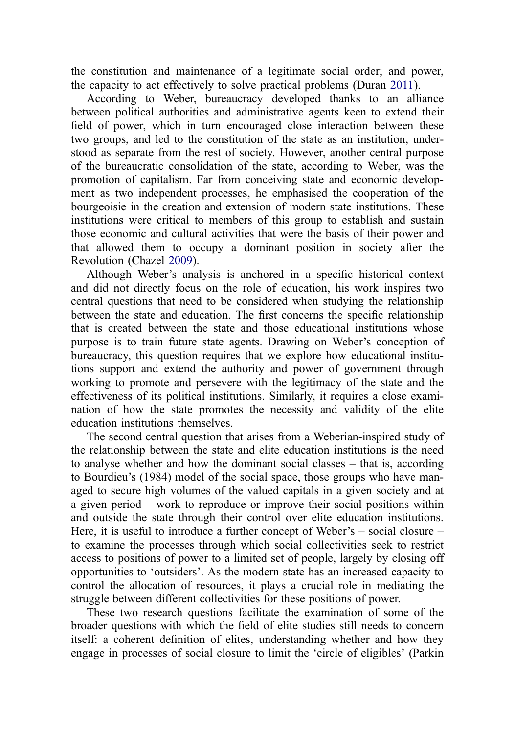the constitution and maintenance of a legitimate social order; and power, the capacity to act effectively to solve practical problems (Duran [2011\)](#page-22-0).

According to Weber, bureaucracy developed thanks to an alliance between political authorities and administrative agents keen to extend their field of power, which in turn encouraged close interaction between these two groups, and led to the constitution of the state as an institution, understood as separate from the rest of society. However, another central purpose of the bureaucratic consolidation of the state, according to Weber, was the promotion of capitalism. Far from conceiving state and economic development as two independent processes, he emphasised the cooperation of the bourgeoisie in the creation and extension of modern state institutions. These institutions were critical to members of this group to establish and sustain those economic and cultural activities that were the basis of their power and that allowed them to occupy a dominant position in society after the Revolution (Chazel [2009](#page-21-0)).

Although Weber's analysis is anchored in a specific historical context and did not directly focus on the role of education, his work inspires two central questions that need to be considered when studying the relationship between the state and education. The first concerns the specific relationship that is created between the state and those educational institutions whose purpose is to train future state agents. Drawing on Weber's conception of bureaucracy, this question requires that we explore how educational institutions support and extend the authority and power of government through working to promote and persevere with the legitimacy of the state and the effectiveness of its political institutions. Similarly, it requires a close examination of how the state promotes the necessity and validity of the elite education institutions themselves.

The second central question that arises from a Weberian-inspired study of the relationship between the state and elite education institutions is the need to analyse whether and how the dominant social classes – that is, according to Bourdieu's (1984) model of the social space, those groups who have managed to secure high volumes of the valued capitals in a given society and at a given period – work to reproduce or improve their social positions within and outside the state through their control over elite education institutions. Here, it is useful to introduce a further concept of Weber's – social closure – to examine the processes through which social collectivities seek to restrict access to positions of power to a limited set of people, largely by closing off opportunities to 'outsiders'. As the modern state has an increased capacity to control the allocation of resources, it plays a crucial role in mediating the struggle between different collectivities for these positions of power.

These two research questions facilitate the examination of some of the broader questions with which the field of elite studies still needs to concern itself: a coherent definition of elites, understanding whether and how they engage in processes of social closure to limit the 'circle of eligibles' (Parkin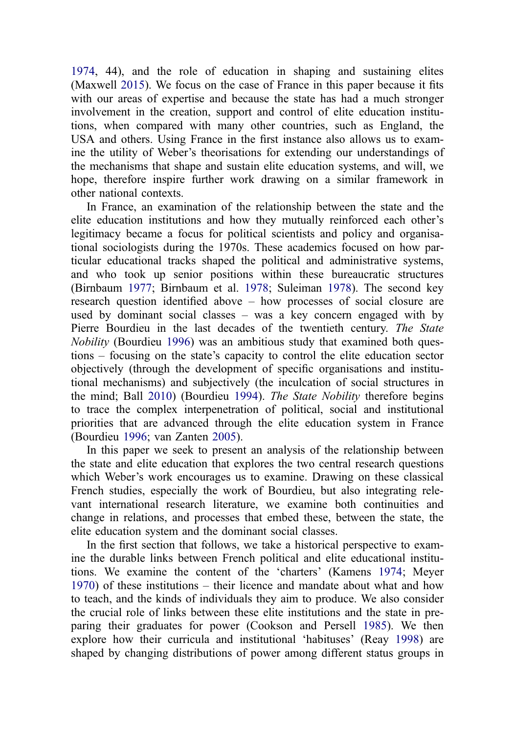[1974,](#page-23-0) 44), and the role of education in shaping and sustaining elites (Maxwell [2015\)](#page-22-0). We focus on the case of France in this paper because it fits with our areas of expertise and because the state has had a much stronger involvement in the creation, support and control of elite education institutions, when compared with many other countries, such as England, the USA and others. Using France in the first instance also allows us to examine the utility of Weber's theorisations for extending our understandings of the mechanisms that shape and sustain elite education systems, and will, we hope, therefore inspire further work drawing on a similar framework in other national contexts.

In France, an examination of the relationship between the state and the elite education institutions and how they mutually reinforced each other's legitimacy became a focus for political scientists and policy and organisational sociologists during the 1970s. These academics focused on how particular educational tracks shaped the political and administrative systems, and who took up senior positions within these bureaucratic structures (Birnbaum [1977](#page-20-0); Birnbaum et al. [1978](#page-21-0); Suleiman [1978\)](#page-24-0). The second key research question identified above – how processes of social closure are used by dominant social classes – was a key concern engaged with by Pierre Bourdieu in the last decades of the twentieth century. The State Nobility (Bourdieu [1996](#page-21-0)) was an ambitious study that examined both questions – focusing on the state's capacity to control the elite education sector objectively (through the development of specific organisations and institutional mechanisms) and subjectively (the inculcation of social structures in the mind; Ball [2010\)](#page-20-0) (Bourdieu [1994](#page-21-0)). The State Nobility therefore begins to trace the complex interpenetration of political, social and institutional priorities that are advanced through the elite education system in France (Bourdieu [1996;](#page-21-0) van Zanten [2005](#page-24-0)).

In this paper we seek to present an analysis of the relationship between the state and elite education that explores the two central research questions which Weber's work encourages us to examine. Drawing on these classical French studies, especially the work of Bourdieu, but also integrating relevant international research literature, we examine both continuities and change in relations, and processes that embed these, between the state, the elite education system and the dominant social classes.

In the first section that follows, we take a historical perspective to examine the durable links between French political and elite educational institutions. We examine the content of the 'charters' (Kamens [1974;](#page-22-0) Meyer [1970\)](#page-23-0) of these institutions – their licence and mandate about what and how to teach, and the kinds of individuals they aim to produce. We also consider the crucial role of links between these elite institutions and the state in preparing their graduates for power (Cookson and Persell [1985\)](#page-21-0). We then explore how their curricula and institutional 'habituses' (Reay [1998\)](#page-23-0) are shaped by changing distributions of power among different status groups in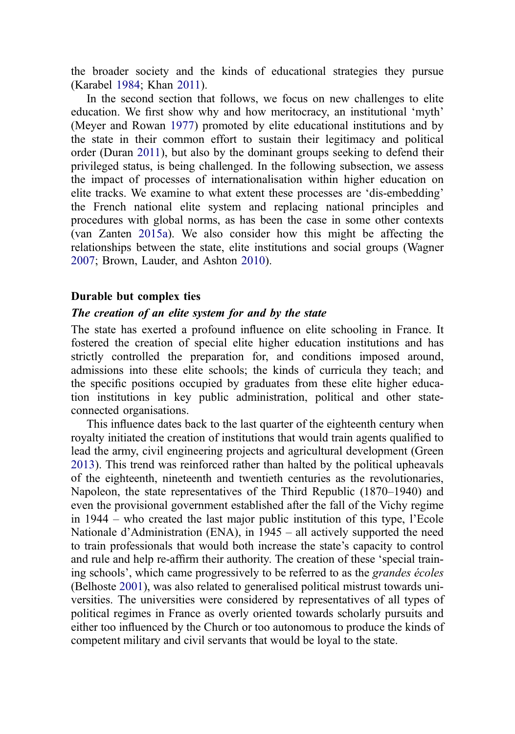the broader society and the kinds of educational strategies they pursue (Karabel [1984](#page-22-0); Khan [2011](#page-22-0)).

In the second section that follows, we focus on new challenges to elite education. We first show why and how meritocracy, an institutional 'myth' (Meyer and Rowan [1977](#page-23-0)) promoted by elite educational institutions and by the state in their common effort to sustain their legitimacy and political order (Duran [2011](#page-22-0)), but also by the dominant groups seeking to defend their privileged status, is being challenged. In the following subsection, we assess the impact of processes of internationalisation within higher education on elite tracks. We examine to what extent these processes are 'dis-embedding' the French national elite system and replacing national principles and procedures with global norms, as has been the case in some other contexts (van Zanten [2015a\)](#page-24-0). We also consider how this might be affecting the relationships between the state, elite institutions and social groups (Wagner [2007;](#page-24-0) Brown, Lauder, and Ashton [2010](#page-21-0)).

#### Durable but complex ties

#### The creation of an elite system for and by the state

The state has exerted a profound influence on elite schooling in France. It fostered the creation of special elite higher education institutions and has strictly controlled the preparation for, and conditions imposed around, admissions into these elite schools; the kinds of curricula they teach; and the specific positions occupied by graduates from these elite higher education institutions in key public administration, political and other stateconnected organisations.

This influence dates back to the last quarter of the eighteenth century when royalty initiated the creation of institutions that would train agents qualified to lead the army, civil engineering projects and agricultural development (Green [2013\)](#page-22-0). This trend was reinforced rather than halted by the political upheavals of the eighteenth, nineteenth and twentieth centuries as the revolutionaries, Napoleon, the state representatives of the Third Republic (1870–1940) and even the provisional government established after the fall of the Vichy regime in 1944 – who created the last major public institution of this type, l'Ecole Nationale d'Administration (ENA), in 1945 – all actively supported the need to train professionals that would both increase the state's capacity to control and rule and help re-affirm their authority. The creation of these 'special training schools', which came progressively to be referred to as the grandes écoles (Belhoste [2001](#page-20-0)), was also related to generalised political mistrust towards universities. The universities were considered by representatives of all types of political regimes in France as overly oriented towards scholarly pursuits and either too influenced by the Church or too autonomous to produce the kinds of competent military and civil servants that would be loyal to the state.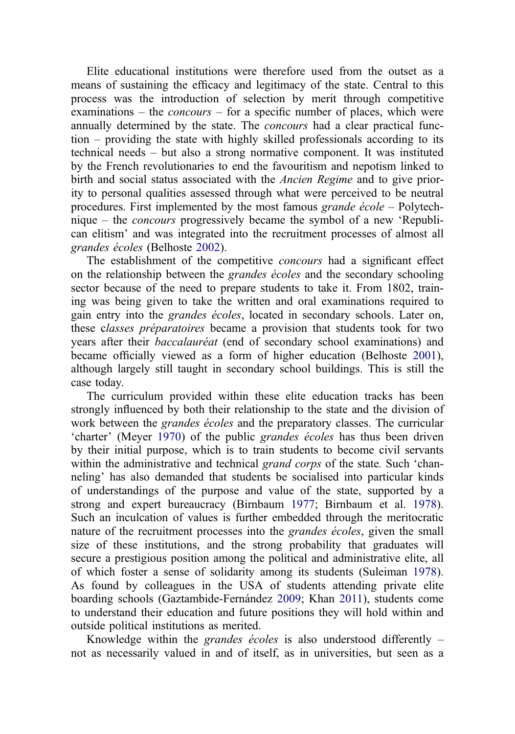Elite educational institutions were therefore used from the outset as a means of sustaining the efficacy and legitimacy of the state. Central to this process was the introduction of selection by merit through competitive examinations – the *concours* – for a specific number of places, which were annually determined by the state. The concours had a clear practical function – providing the state with highly skilled professionals according to its technical needs – but also a strong normative component. It was instituted by the French revolutionaries to end the favouritism and nepotism linked to birth and social status associated with the Ancien Regime and to give priority to personal qualities assessed through what were perceived to be neutral procedures. First implemented by the most famous grande école – Polytechnique – the concours progressively became the symbol of a new 'Republican elitism' and was integrated into the recruitment processes of almost all grandes écoles (Belhoste [2002\)](#page-20-0).

The establishment of the competitive *concours* had a significant effect on the relationship between the grandes écoles and the secondary schooling sector because of the need to prepare students to take it. From 1802, training was being given to take the written and oral examinations required to gain entry into the grandes écoles, located in secondary schools. Later on, these classes préparatoires became a provision that students took for two years after their baccalauréat (end of secondary school examinations) and became officially viewed as a form of higher education (Belhoste [2001\)](#page-20-0), although largely still taught in secondary school buildings. This is still the case today.

The curriculum provided within these elite education tracks has been strongly influenced by both their relationship to the state and the division of work between the grandes écoles and the preparatory classes. The curricular 'charter' (Meyer [1970\)](#page-23-0) of the public grandes écoles has thus been driven by their initial purpose, which is to train students to become civil servants within the administrative and technical *grand corps* of the state. Such 'channeling' has also demanded that students be socialised into particular kinds of understandings of the purpose and value of the state, supported by a strong and expert bureaucracy (Birnbaum [1977;](#page-20-0) Birnbaum et al. [1978\)](#page-21-0). Such an inculcation of values is further embedded through the meritocratic nature of the recruitment processes into the grandes écoles, given the small size of these institutions, and the strong probability that graduates will secure a prestigious position among the political and administrative elite, all of which foster a sense of solidarity among its students (Suleiman [1978\)](#page-24-0). As found by colleagues in the USA of students attending private elite boarding schools (Gaztambide-Fernández [2009;](#page-22-0) Khan [2011\)](#page-22-0), students come to understand their education and future positions they will hold within and outside political institutions as merited.

Knowledge within the grandes écoles is also understood differently – not as necessarily valued in and of itself, as in universities, but seen as a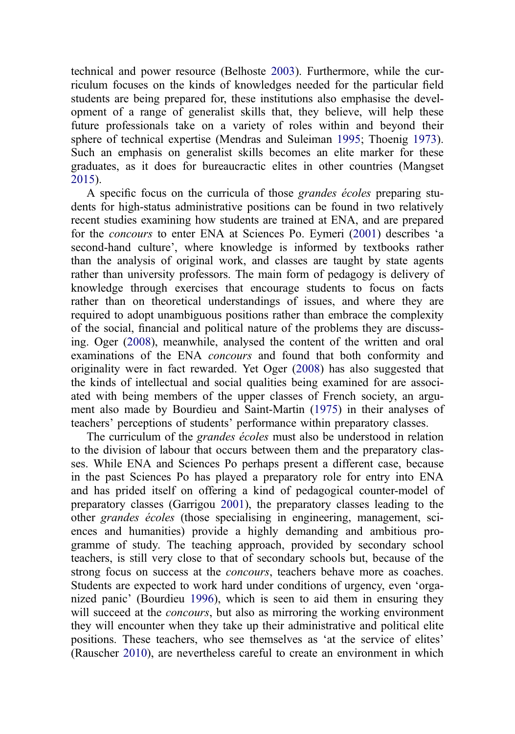technical and power resource (Belhoste [2003\)](#page-20-0). Furthermore, while the curriculum focuses on the kinds of knowledges needed for the particular field students are being prepared for, these institutions also emphasise the development of a range of generalist skills that, they believe, will help these future professionals take on a variety of roles within and beyond their sphere of technical expertise (Mendras and Suleiman [1995;](#page-23-0) Thoenig [1973\)](#page-24-0). Such an emphasis on generalist skills becomes an elite marker for these graduates, as it does for bureaucractic elites in other countries (Mangset [2015\)](#page-22-0).

A specific focus on the curricula of those grandes écoles preparing students for high-status administrative positions can be found in two relatively recent studies examining how students are trained at ENA, and are prepared for the concours to enter ENA at Sciences Po. Eymeri [\(2001](#page-22-0)) describes 'a second-hand culture', where knowledge is informed by textbooks rather than the analysis of original work, and classes are taught by state agents rather than university professors. The main form of pedagogy is delivery of knowledge through exercises that encourage students to focus on facts rather than on theoretical understandings of issues, and where they are required to adopt unambiguous positions rather than embrace the complexity of the social, financial and political nature of the problems they are discussing. Oger ([2008\)](#page-23-0), meanwhile, analysed the content of the written and oral examinations of the ENA concours and found that both conformity and originality were in fact rewarded. Yet Oger ([2008\)](#page-23-0) has also suggested that the kinds of intellectual and social qualities being examined for are associated with being members of the upper classes of French society, an argument also made by Bourdieu and Saint-Martin ([1975\)](#page-21-0) in their analyses of teachers' perceptions of students' performance within preparatory classes.

The curriculum of the grandes écoles must also be understood in relation to the division of labour that occurs between them and the preparatory classes. While ENA and Sciences Po perhaps present a different case, because in the past Sciences Po has played a preparatory role for entry into ENA and has prided itself on offering a kind of pedagogical counter-model of preparatory classes (Garrigou [2001](#page-22-0)), the preparatory classes leading to the other grandes écoles (those specialising in engineering, management, sciences and humanities) provide a highly demanding and ambitious programme of study. The teaching approach, provided by secondary school teachers, is still very close to that of secondary schools but, because of the strong focus on success at the *concours*, teachers behave more as coaches. Students are expected to work hard under conditions of urgency, even 'organized panic' (Bourdieu [1996](#page-21-0)), which is seen to aid them in ensuring they will succeed at the *concours*, but also as mirroring the working environment they will encounter when they take up their administrative and political elite positions. These teachers, who see themselves as 'at the service of elites' (Rauscher [2010\)](#page-23-0), are nevertheless careful to create an environment in which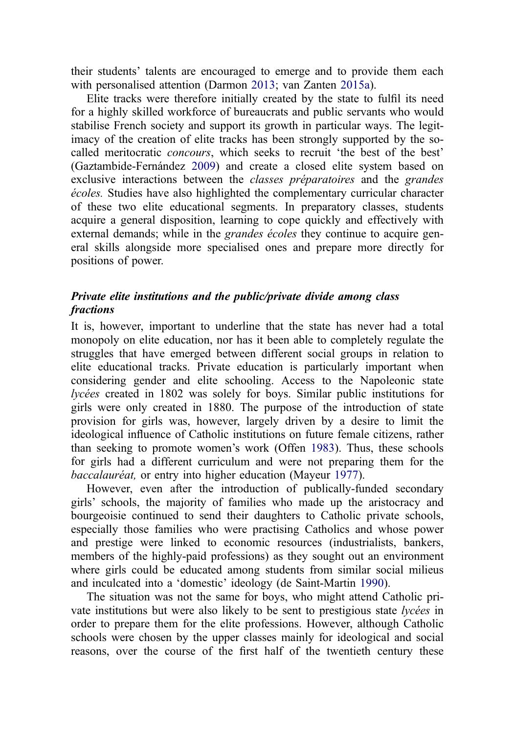their students' talents are encouraged to emerge and to provide them each with personalised attention (Darmon [2013;](#page-21-0) van Zanten [2015a](#page-24-0)).

Elite tracks were therefore initially created by the state to fulfil its need for a highly skilled workforce of bureaucrats and public servants who would stabilise French society and support its growth in particular ways. The legitimacy of the creation of elite tracks has been strongly supported by the socalled meritocratic concours, which seeks to recruit 'the best of the best' (Gaztambide-Fernández [2009\)](#page-22-0) and create a closed elite system based on exclusive interactions between the classes préparatoires and the grandes écoles. Studies have also highlighted the complementary curricular character of these two elite educational segments. In preparatory classes, students acquire a general disposition, learning to cope quickly and effectively with external demands; while in the *grandes écoles* they continue to acquire general skills alongside more specialised ones and prepare more directly for positions of power.

### Private elite institutions and the public/private divide among class fractions

It is, however, important to underline that the state has never had a total monopoly on elite education, nor has it been able to completely regulate the struggles that have emerged between different social groups in relation to elite educational tracks. Private education is particularly important when considering gender and elite schooling. Access to the Napoleonic state lycées created in 1802 was solely for boys. Similar public institutions for girls were only created in 1880. The purpose of the introduction of state provision for girls was, however, largely driven by a desire to limit the ideological influence of Catholic institutions on future female citizens, rather than seeking to promote women's work (Offen [1983\)](#page-23-0). Thus, these schools for girls had a different curriculum and were not preparing them for the baccalauréat, or entry into higher education (Mayeur [1977](#page-22-0)).

However, even after the introduction of publically-funded secondary girls' schools, the majority of families who made up the aristocracy and bourgeoisie continued to send their daughters to Catholic private schools, especially those families who were practising Catholics and whose power and prestige were linked to economic resources (industrialists, bankers, members of the highly-paid professions) as they sought out an environment where girls could be educated among students from similar social milieus and inculcated into a 'domestic' ideology (de Saint-Martin [1990\)](#page-23-0).

The situation was not the same for boys, who might attend Catholic private institutions but were also likely to be sent to prestigious state lycées in order to prepare them for the elite professions. However, although Catholic schools were chosen by the upper classes mainly for ideological and social reasons, over the course of the first half of the twentieth century these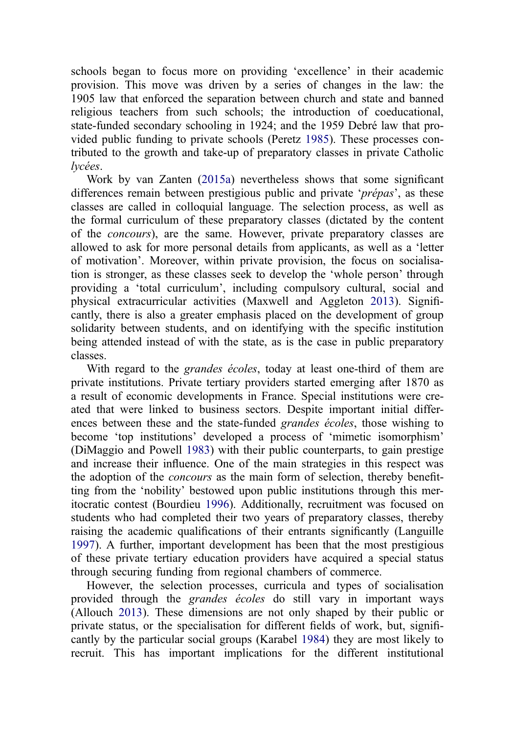schools began to focus more on providing 'excellence' in their academic provision. This move was driven by a series of changes in the law: the 1905 law that enforced the separation between church and state and banned religious teachers from such schools; the introduction of coeducational, state-funded secondary schooling in 1924; and the 1959 Debré law that provided public funding to private schools (Peretz [1985](#page-23-0)). These processes contributed to the growth and take-up of preparatory classes in private Catholic lycées.

Work by van Zanten [\(2015a](#page-24-0)) nevertheless shows that some significant differences remain between prestigious public and private '*prépas*', as these classes are called in colloquial language. The selection process, as well as the formal curriculum of these preparatory classes (dictated by the content of the concours), are the same. However, private preparatory classes are allowed to ask for more personal details from applicants, as well as a 'letter of motivation'. Moreover, within private provision, the focus on socialisation is stronger, as these classes seek to develop the 'whole person' through providing a 'total curriculum', including compulsory cultural, social and physical extracurricular activities (Maxwell and Aggleton [2013](#page-22-0)). Significantly, there is also a greater emphasis placed on the development of group solidarity between students, and on identifying with the specific institution being attended instead of with the state, as is the case in public preparatory classes.

With regard to the *grandes écoles*, today at least one-third of them are private institutions. Private tertiary providers started emerging after 1870 as a result of economic developments in France. Special institutions were created that were linked to business sectors. Despite important initial differences between these and the state-funded grandes écoles, those wishing to become 'top institutions' developed a process of 'mimetic isomorphism' (DiMaggio and Powell [1983](#page-21-0)) with their public counterparts, to gain prestige and increase their influence. One of the main strategies in this respect was the adoption of the concours as the main form of selection, thereby benefitting from the 'nobility' bestowed upon public institutions through this meritocratic contest (Bourdieu [1996\)](#page-21-0). Additionally, recruitment was focused on students who had completed their two years of preparatory classes, thereby raising the academic qualifications of their entrants significantly (Languille [1997\)](#page-22-0). A further, important development has been that the most prestigious of these private tertiary education providers have acquired a special status through securing funding from regional chambers of commerce.

However, the selection processes, curricula and types of socialisation provided through the grandes écoles do still vary in important ways (Allouch [2013\)](#page-20-0). These dimensions are not only shaped by their public or private status, or the specialisation for different fields of work, but, significantly by the particular social groups (Karabel [1984\)](#page-22-0) they are most likely to recruit. This has important implications for the different institutional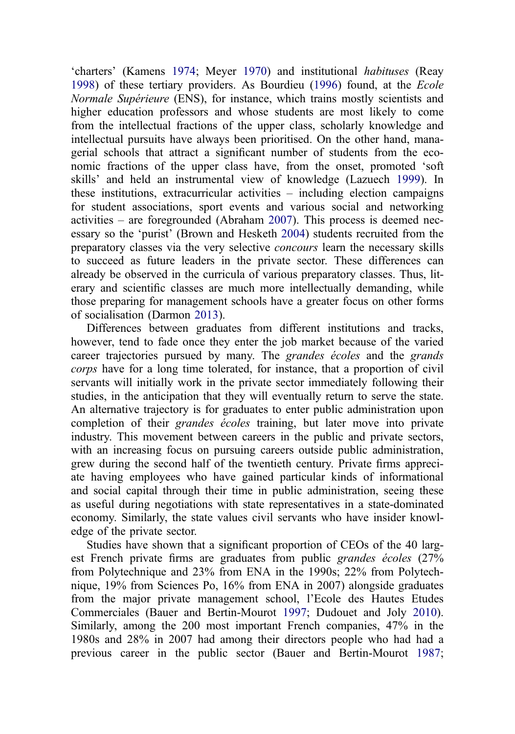'charters' (Kamens [1974;](#page-22-0) Meyer [1970\)](#page-23-0) and institutional habituses (Reay [1998\)](#page-23-0) of these tertiary providers. As Bourdieu ([1996\)](#page-21-0) found, at the Ecole Normale Supérieure (ENS), for instance, which trains mostly scientists and higher education professors and whose students are most likely to come from the intellectual fractions of the upper class, scholarly knowledge and intellectual pursuits have always been prioritised. On the other hand, managerial schools that attract a significant number of students from the economic fractions of the upper class have, from the onset, promoted 'soft skills' and held an instrumental view of knowledge (Lazuech [1999\)](#page-22-0). In these institutions, extracurricular activities – including election campaigns for student associations, sport events and various social and networking activities – are foregrounded (Abraham [2007](#page-19-0)). This process is deemed necessary so the 'purist' (Brown and Hesketh [2004\)](#page-21-0) students recruited from the preparatory classes via the very selective concours learn the necessary skills to succeed as future leaders in the private sector. These differences can already be observed in the curricula of various preparatory classes. Thus, literary and scientific classes are much more intellectually demanding, while those preparing for management schools have a greater focus on other forms of socialisation (Darmon [2013](#page-21-0)).

Differences between graduates from different institutions and tracks, however, tend to fade once they enter the job market because of the varied career trajectories pursued by many. The grandes écoles and the grands corps have for a long time tolerated, for instance, that a proportion of civil servants will initially work in the private sector immediately following their studies, in the anticipation that they will eventually return to serve the state. An alternative trajectory is for graduates to enter public administration upon completion of their grandes écoles training, but later move into private industry. This movement between careers in the public and private sectors, with an increasing focus on pursuing careers outside public administration, grew during the second half of the twentieth century. Private firms appreciate having employees who have gained particular kinds of informational and social capital through their time in public administration, seeing these as useful during negotiations with state representatives in a state-dominated economy. Similarly, the state values civil servants who have insider knowledge of the private sector.

Studies have shown that a significant proportion of CEOs of the 40 largest French private firms are graduates from public grandes écoles (27% from Polytechnique and 23% from ENA in the 1990s; 22% from Polytechnique, 19% from Sciences Po, 16% from ENA in 2007) alongside graduates from the major private management school, l'Ecole des Hautes Etudes Commerciales (Bauer and Bertin-Mourot [1997;](#page-20-0) Dudouet and Joly [2010\)](#page-21-0). Similarly, among the 200 most important French companies, 47% in the 1980s and 28% in 2007 had among their directors people who had had a previous career in the public sector (Bauer and Bertin-Mourot [1987](#page-20-0);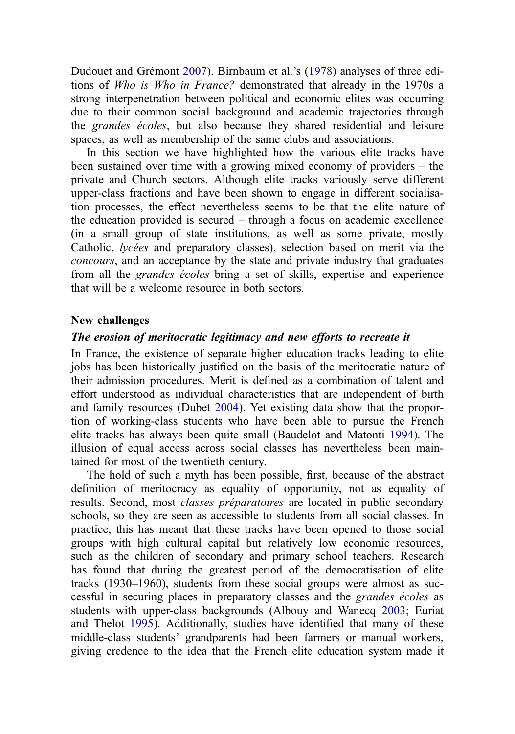Dudouet and Grémont [2007](#page-21-0)). Birnbaum et al.'s ([1978\)](#page-21-0) analyses of three editions of Who is Who in France? demonstrated that already in the 1970s a strong interpenetration between political and economic elites was occurring due to their common social background and academic trajectories through the grandes écoles, but also because they shared residential and leisure spaces, as well as membership of the same clubs and associations.

In this section we have highlighted how the various elite tracks have been sustained over time with a growing mixed economy of providers – the private and Church sectors. Although elite tracks variously serve different upper-class fractions and have been shown to engage in different socialisation processes, the effect nevertheless seems to be that the elite nature of the education provided is secured – through a focus on academic excellence (in a small group of state institutions, as well as some private, mostly Catholic, lycées and preparatory classes), selection based on merit via the concours, and an acceptance by the state and private industry that graduates from all the grandes écoles bring a set of skills, expertise and experience that will be a welcome resource in both sectors.

#### New challenges

#### The erosion of meritocratic legitimacy and new efforts to recreate it

In France, the existence of separate higher education tracks leading to elite jobs has been historically justified on the basis of the meritocratic nature of their admission procedures. Merit is defined as a combination of talent and effort understood as individual characteristics that are independent of birth and family resources (Dubet [2004\)](#page-21-0). Yet existing data show that the proportion of working-class students who have been able to pursue the French elite tracks has always been quite small (Baudelot and Matonti [1994](#page-20-0)). The illusion of equal access across social classes has nevertheless been maintained for most of the twentieth century.

The hold of such a myth has been possible, first, because of the abstract definition of meritocracy as equality of opportunity, not as equality of results. Second, most classes préparatoires are located in public secondary schools, so they are seen as accessible to students from all social classes. In practice, this has meant that these tracks have been opened to those social groups with high cultural capital but relatively low economic resources, such as the children of secondary and primary school teachers. Research has found that during the greatest period of the democratisation of elite tracks (1930–1960), students from these social groups were almost as successful in securing places in preparatory classes and the grandes écoles as students with upper-class backgrounds (Albouy and Wanecq [2003;](#page-19-0) Euriat and Thelot [1995](#page-22-0)). Additionally, studies have identified that many of these middle-class students' grandparents had been farmers or manual workers, giving credence to the idea that the French elite education system made it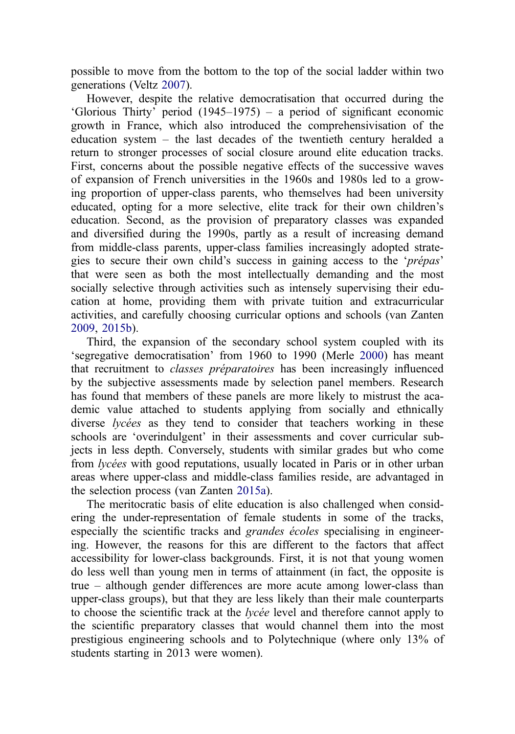possible to move from the bottom to the top of the social ladder within two generations (Veltz [2007\)](#page-24-0).

However, despite the relative democratisation that occurred during the 'Glorious Thirty' period (1945–1975) – a period of significant economic growth in France, which also introduced the comprehensivisation of the education system – the last decades of the twentieth century heralded a return to stronger processes of social closure around elite education tracks. First, concerns about the possible negative effects of the successive waves of expansion of French universities in the 1960s and 1980s led to a growing proportion of upper-class parents, who themselves had been university educated, opting for a more selective, elite track for their own children's education. Second, as the provision of preparatory classes was expanded and diversified during the 1990s, partly as a result of increasing demand from middle-class parents, upper-class families increasingly adopted strategies to secure their own child's success in gaining access to the 'prépas' that were seen as both the most intellectually demanding and the most socially selective through activities such as intensely supervising their education at home, providing them with private tuition and extracurricular activities, and carefully choosing curricular options and schools (van Zanten [2009,](#page-24-0) [2015b](#page-24-0)).

Third, the expansion of the secondary school system coupled with its 'segregative democratisation' from 1960 to 1990 (Merle [2000\)](#page-23-0) has meant that recruitment to classes préparatoires has been increasingly influenced by the subjective assessments made by selection panel members. Research has found that members of these panels are more likely to mistrust the academic value attached to students applying from socially and ethnically diverse *lycées* as they tend to consider that teachers working in these schools are 'overindulgent' in their assessments and cover curricular subjects in less depth. Conversely, students with similar grades but who come from lycées with good reputations, usually located in Paris or in other urban areas where upper-class and middle-class families reside, are advantaged in the selection process (van Zanten [2015a\)](#page-24-0).

The meritocratic basis of elite education is also challenged when considering the under-representation of female students in some of the tracks, especially the scientific tracks and grandes écoles specialising in engineering. However, the reasons for this are different to the factors that affect accessibility for lower-class backgrounds. First, it is not that young women do less well than young men in terms of attainment (in fact, the opposite is true – although gender differences are more acute among lower-class than upper-class groups), but that they are less likely than their male counterparts to choose the scientific track at the lycée level and therefore cannot apply to the scientific preparatory classes that would channel them into the most prestigious engineering schools and to Polytechnique (where only 13% of students starting in 2013 were women).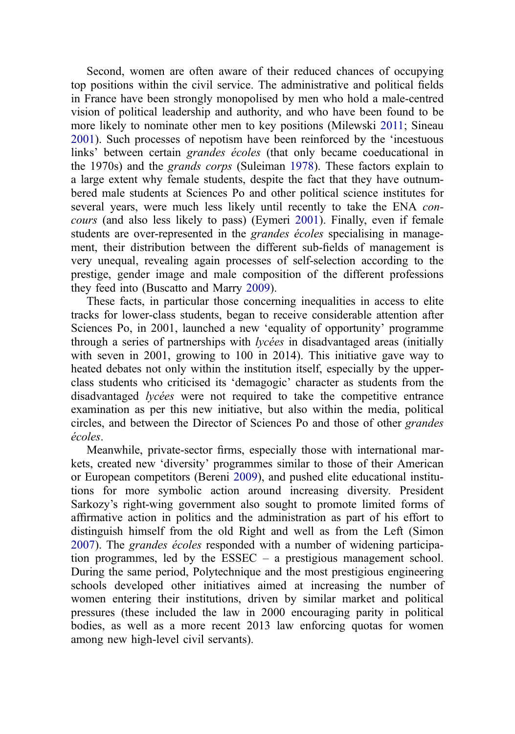Second, women are often aware of their reduced chances of occupying top positions within the civil service. The administrative and political fields in France have been strongly monopolised by men who hold a male-centred vision of political leadership and authority, and who have been found to be more likely to nominate other men to key positions (Milewski [2011](#page-23-0); Sineau [2001\)](#page-24-0). Such processes of nepotism have been reinforced by the 'incestuous links' between certain grandes écoles (that only became coeducational in the 1970s) and the grands corps (Suleiman [1978\)](#page-24-0). These factors explain to a large extent why female students, despite the fact that they have outnumbered male students at Sciences Po and other political science institutes for several years, were much less likely until recently to take the ENA *con*cours (and also less likely to pass) (Eymeri [2001\)](#page-22-0). Finally, even if female students are over-represented in the *grandes écoles* specialising in management, their distribution between the different sub-fields of management is very unequal, revealing again processes of self-selection according to the prestige, gender image and male composition of the different professions they feed into (Buscatto and Marry [2009\)](#page-21-0).

These facts, in particular those concerning inequalities in access to elite tracks for lower-class students, began to receive considerable attention after Sciences Po, in 2001, launched a new 'equality of opportunity' programme through a series of partnerships with lycées in disadvantaged areas (initially with seven in 2001, growing to 100 in 2014). This initiative gave way to heated debates not only within the institution itself, especially by the upperclass students who criticised its 'demagogic' character as students from the disadvantaged lycées were not required to take the competitive entrance examination as per this new initiative, but also within the media, political circles, and between the Director of Sciences Po and those of other grandes écoles.

Meanwhile, private-sector firms, especially those with international markets, created new 'diversity' programmes similar to those of their American or European competitors (Bereni [2009\)](#page-20-0), and pushed elite educational institutions for more symbolic action around increasing diversity. President Sarkozy's right-wing government also sought to promote limited forms of affirmative action in politics and the administration as part of his effort to distinguish himself from the old Right and well as from the Left (Simon [2007\)](#page-24-0). The grandes écoles responded with a number of widening participation programmes, led by the ESSEC – a prestigious management school. During the same period, Polytechnique and the most prestigious engineering schools developed other initiatives aimed at increasing the number of women entering their institutions, driven by similar market and political pressures (these included the law in 2000 encouraging parity in political bodies, as well as a more recent 2013 law enforcing quotas for women among new high-level civil servants).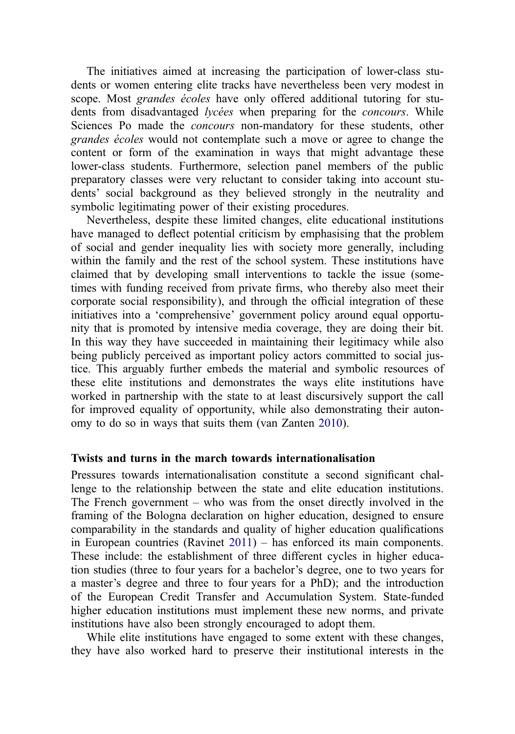The initiatives aimed at increasing the participation of lower-class students or women entering elite tracks have nevertheless been very modest in scope. Most grandes écoles have only offered additional tutoring for students from disadvantaged *lycées* when preparing for the *concours*. While Sciences Po made the *concours* non-mandatory for these students, other grandes écoles would not contemplate such a move or agree to change the content or form of the examination in ways that might advantage these lower-class students. Furthermore, selection panel members of the public preparatory classes were very reluctant to consider taking into account students' social background as they believed strongly in the neutrality and symbolic legitimating power of their existing procedures.

Nevertheless, despite these limited changes, elite educational institutions have managed to deflect potential criticism by emphasising that the problem of social and gender inequality lies with society more generally, including within the family and the rest of the school system. These institutions have claimed that by developing small interventions to tackle the issue (sometimes with funding received from private firms, who thereby also meet their corporate social responsibility), and through the official integration of these initiatives into a 'comprehensive' government policy around equal opportunity that is promoted by intensive media coverage, they are doing their bit. In this way they have succeeded in maintaining their legitimacy while also being publicly perceived as important policy actors committed to social justice. This arguably further embeds the material and symbolic resources of these elite institutions and demonstrates the ways elite institutions have worked in partnership with the state to at least discursively support the call for improved equality of opportunity, while also demonstrating their autonomy to do so in ways that suits them (van Zanten [2010](#page-24-0)).

#### Twists and turns in the march towards internationalisation

Pressures towards internationalisation constitute a second significant challenge to the relationship between the state and elite education institutions. The French government – who was from the onset directly involved in the framing of the Bologna declaration on higher education, designed to ensure comparability in the standards and quality of higher education qualifications in European countries (Ravinet [2011](#page-23-0)) – has enforced its main components. These include: the establishment of three different cycles in higher education studies (three to four years for a bachelor's degree, one to two years for a master's degree and three to four years for a PhD); and the introduction of the European Credit Transfer and Accumulation System. State-funded higher education institutions must implement these new norms, and private institutions have also been strongly encouraged to adopt them.

While elite institutions have engaged to some extent with these changes, they have also worked hard to preserve their institutional interests in the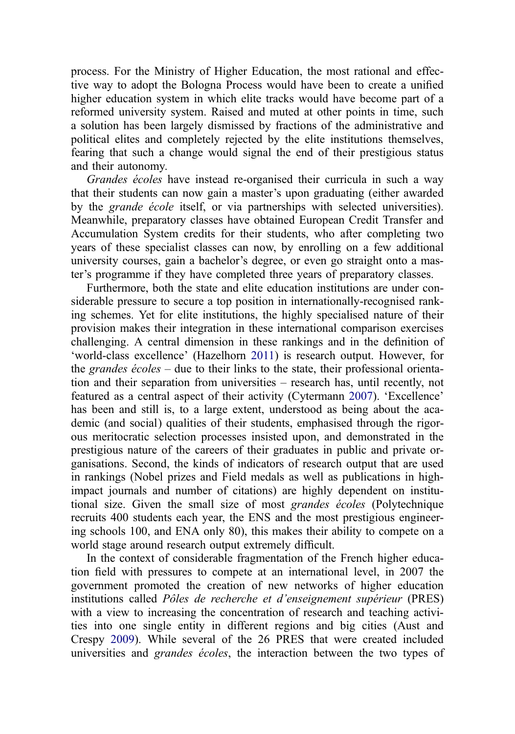process. For the Ministry of Higher Education, the most rational and effective way to adopt the Bologna Process would have been to create a unified higher education system in which elite tracks would have become part of a reformed university system. Raised and muted at other points in time, such a solution has been largely dismissed by fractions of the administrative and political elites and completely rejected by the elite institutions themselves, fearing that such a change would signal the end of their prestigious status and their autonomy.

Grandes écoles have instead re-organised their curricula in such a way that their students can now gain a master's upon graduating (either awarded by the grande école itself, or via partnerships with selected universities). Meanwhile, preparatory classes have obtained European Credit Transfer and Accumulation System credits for their students, who after completing two years of these specialist classes can now, by enrolling on a few additional university courses, gain a bachelor's degree, or even go straight onto a master's programme if they have completed three years of preparatory classes.

Furthermore, both the state and elite education institutions are under considerable pressure to secure a top position in internationally-recognised ranking schemes. Yet for elite institutions, the highly specialised nature of their provision makes their integration in these international comparison exercises challenging. A central dimension in these rankings and in the definition of 'world-class excellence' (Hazelhorn [2011](#page-22-0)) is research output. However, for the *grandes écoles* – due to their links to the state, their professional orientation and their separation from universities – research has, until recently, not featured as a central aspect of their activity (Cytermann [2007](#page-21-0)). 'Excellence' has been and still is, to a large extent, understood as being about the academic (and social) qualities of their students, emphasised through the rigorous meritocratic selection processes insisted upon, and demonstrated in the prestigious nature of the careers of their graduates in public and private organisations. Second, the kinds of indicators of research output that are used in rankings (Nobel prizes and Field medals as well as publications in highimpact journals and number of citations) are highly dependent on institutional size. Given the small size of most grandes écoles (Polytechnique recruits 400 students each year, the ENS and the most prestigious engineering schools 100, and ENA only 80), this makes their ability to compete on a world stage around research output extremely difficult.

In the context of considerable fragmentation of the French higher education field with pressures to compete at an international level, in 2007 the government promoted the creation of new networks of higher education institutions called Pôles de recherche et d'enseignement supérieur (PRES) with a view to increasing the concentration of research and teaching activities into one single entity in different regions and big cities (Aust and Crespy [2009\)](#page-20-0). While several of the 26 PRES that were created included universities and *grandes écoles*, the interaction between the two types of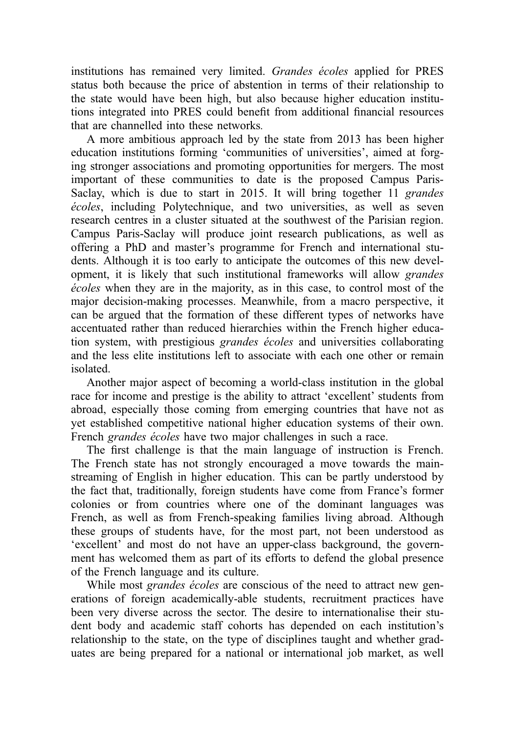institutions has remained very limited. Grandes écoles applied for PRES status both because the price of abstention in terms of their relationship to the state would have been high, but also because higher education institutions integrated into PRES could benefit from additional financial resources that are channelled into these networks.

A more ambitious approach led by the state from 2013 has been higher education institutions forming 'communities of universities', aimed at forging stronger associations and promoting opportunities for mergers. The most important of these communities to date is the proposed Campus Paris-Saclay, which is due to start in 2015. It will bring together 11 grandes écoles, including Polytechnique, and two universities, as well as seven research centres in a cluster situated at the southwest of the Parisian region. Campus Paris-Saclay will produce joint research publications, as well as offering a PhD and master's programme for French and international students. Although it is too early to anticipate the outcomes of this new development, it is likely that such institutional frameworks will allow grandes écoles when they are in the majority, as in this case, to control most of the major decision-making processes. Meanwhile, from a macro perspective, it can be argued that the formation of these different types of networks have accentuated rather than reduced hierarchies within the French higher education system, with prestigious grandes écoles and universities collaborating and the less elite institutions left to associate with each one other or remain isolated.

Another major aspect of becoming a world-class institution in the global race for income and prestige is the ability to attract 'excellent' students from abroad, especially those coming from emerging countries that have not as yet established competitive national higher education systems of their own. French grandes écoles have two major challenges in such a race.

The first challenge is that the main language of instruction is French. The French state has not strongly encouraged a move towards the mainstreaming of English in higher education. This can be partly understood by the fact that, traditionally, foreign students have come from France's former colonies or from countries where one of the dominant languages was French, as well as from French-speaking families living abroad. Although these groups of students have, for the most part, not been understood as 'excellent' and most do not have an upper-class background, the government has welcomed them as part of its efforts to defend the global presence of the French language and its culture.

While most *grandes écoles* are conscious of the need to attract new generations of foreign academically-able students, recruitment practices have been very diverse across the sector. The desire to internationalise their student body and academic staff cohorts has depended on each institution's relationship to the state, on the type of disciplines taught and whether graduates are being prepared for a national or international job market, as well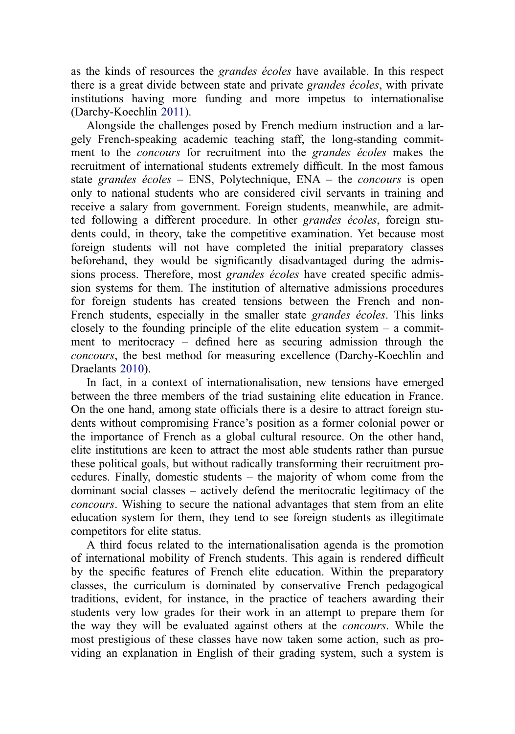as the kinds of resources the grandes écoles have available. In this respect there is a great divide between state and private grandes écoles, with private institutions having more funding and more impetus to internationalise (Darchy-Koechlin [2011\)](#page-21-0).

Alongside the challenges posed by French medium instruction and a largely French-speaking academic teaching staff, the long-standing commitment to the concours for recruitment into the grandes écoles makes the recruitment of international students extremely difficult. In the most famous state grandes écoles – ENS, Polytechnique, ENA – the concours is open only to national students who are considered civil servants in training and receive a salary from government. Foreign students, meanwhile, are admitted following a different procedure. In other grandes écoles, foreign students could, in theory, take the competitive examination. Yet because most foreign students will not have completed the initial preparatory classes beforehand, they would be significantly disadvantaged during the admissions process. Therefore, most grandes écoles have created specific admission systems for them. The institution of alternative admissions procedures for foreign students has created tensions between the French and non-French students, especially in the smaller state *grandes écoles*. This links closely to the founding principle of the elite education system  $-$  a commitment to meritocracy – defined here as securing admission through the concours, the best method for measuring excellence (Darchy-Koechlin and Draelants [2010](#page-21-0)).

In fact, in a context of internationalisation, new tensions have emerged between the three members of the triad sustaining elite education in France. On the one hand, among state officials there is a desire to attract foreign students without compromising France's position as a former colonial power or the importance of French as a global cultural resource. On the other hand, elite institutions are keen to attract the most able students rather than pursue these political goals, but without radically transforming their recruitment procedures. Finally, domestic students – the majority of whom come from the dominant social classes – actively defend the meritocratic legitimacy of the concours. Wishing to secure the national advantages that stem from an elite education system for them, they tend to see foreign students as illegitimate competitors for elite status.

A third focus related to the internationalisation agenda is the promotion of international mobility of French students. This again is rendered difficult by the specific features of French elite education. Within the preparatory classes, the curriculum is dominated by conservative French pedagogical traditions, evident, for instance, in the practice of teachers awarding their students very low grades for their work in an attempt to prepare them for the way they will be evaluated against others at the concours. While the most prestigious of these classes have now taken some action, such as providing an explanation in English of their grading system, such a system is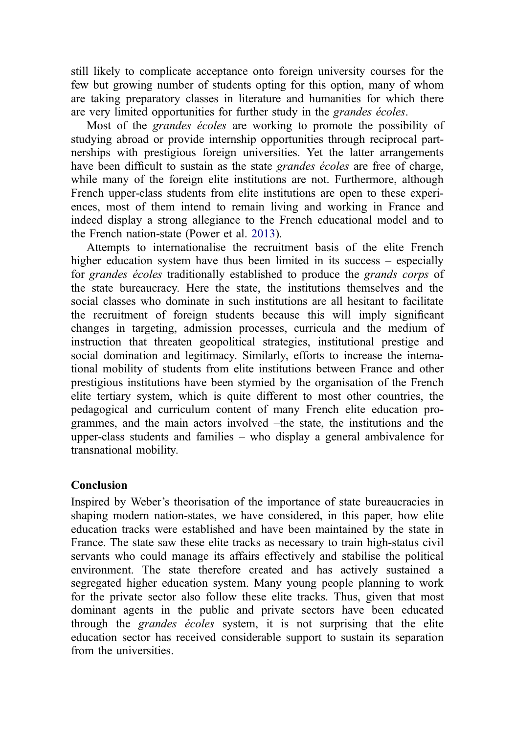still likely to complicate acceptance onto foreign university courses for the few but growing number of students opting for this option, many of whom are taking preparatory classes in literature and humanities for which there are very limited opportunities for further study in the grandes écoles.

Most of the grandes écoles are working to promote the possibility of studying abroad or provide internship opportunities through reciprocal partnerships with prestigious foreign universities. Yet the latter arrangements have been difficult to sustain as the state *grandes écoles* are free of charge, while many of the foreign elite institutions are not. Furthermore, although French upper-class students from elite institutions are open to these experiences, most of them intend to remain living and working in France and indeed display a strong allegiance to the French educational model and to the French nation-state (Power et al. [2013\)](#page-23-0).

Attempts to internationalise the recruitment basis of the elite French higher education system have thus been limited in its success – especially for grandes écoles traditionally established to produce the grands corps of the state bureaucracy. Here the state, the institutions themselves and the social classes who dominate in such institutions are all hesitant to facilitate the recruitment of foreign students because this will imply significant changes in targeting, admission processes, curricula and the medium of instruction that threaten geopolitical strategies, institutional prestige and social domination and legitimacy. Similarly, efforts to increase the international mobility of students from elite institutions between France and other prestigious institutions have been stymied by the organisation of the French elite tertiary system, which is quite different to most other countries, the pedagogical and curriculum content of many French elite education programmes, and the main actors involved –the state, the institutions and the upper-class students and families – who display a general ambivalence for transnational mobility.

### Conclusion

Inspired by Weber's theorisation of the importance of state bureaucracies in shaping modern nation-states, we have considered, in this paper, how elite education tracks were established and have been maintained by the state in France. The state saw these elite tracks as necessary to train high-status civil servants who could manage its affairs effectively and stabilise the political environment. The state therefore created and has actively sustained a segregated higher education system. Many young people planning to work for the private sector also follow these elite tracks. Thus, given that most dominant agents in the public and private sectors have been educated through the grandes écoles system, it is not surprising that the elite education sector has received considerable support to sustain its separation from the universities.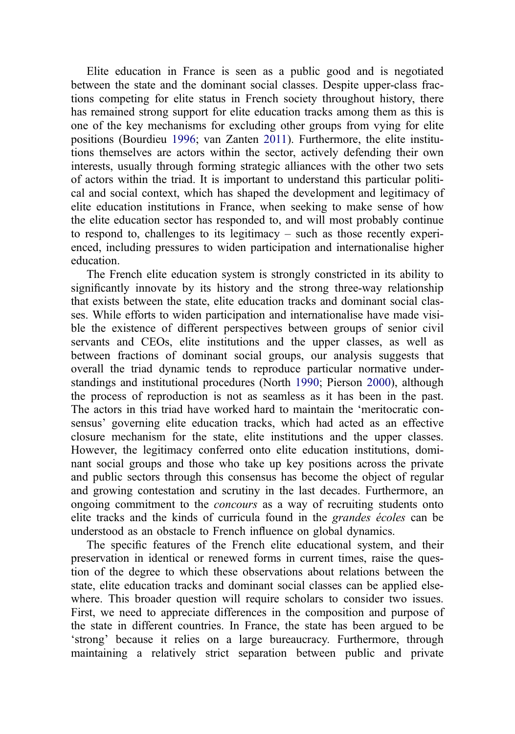Elite education in France is seen as a public good and is negotiated between the state and the dominant social classes. Despite upper-class fractions competing for elite status in French society throughout history, there has remained strong support for elite education tracks among them as this is one of the key mechanisms for excluding other groups from vying for elite positions (Bourdieu [1996](#page-21-0); van Zanten [2011](#page-24-0)). Furthermore, the elite institutions themselves are actors within the sector, actively defending their own interests, usually through forming strategic alliances with the other two sets of actors within the triad. It is important to understand this particular political and social context, which has shaped the development and legitimacy of elite education institutions in France, when seeking to make sense of how the elite education sector has responded to, and will most probably continue to respond to, challenges to its legitimacy – such as those recently experienced, including pressures to widen participation and internationalise higher education.

The French elite education system is strongly constricted in its ability to significantly innovate by its history and the strong three-way relationship that exists between the state, elite education tracks and dominant social classes. While efforts to widen participation and internationalise have made visible the existence of different perspectives between groups of senior civil servants and CEOs, elite institutions and the upper classes, as well as between fractions of dominant social groups, our analysis suggests that overall the triad dynamic tends to reproduce particular normative understandings and institutional procedures (North [1990;](#page-23-0) Pierson [2000](#page-23-0)), although the process of reproduction is not as seamless as it has been in the past. The actors in this triad have worked hard to maintain the 'meritocratic consensus' governing elite education tracks, which had acted as an effective closure mechanism for the state, elite institutions and the upper classes. However, the legitimacy conferred onto elite education institutions, dominant social groups and those who take up key positions across the private and public sectors through this consensus has become the object of regular and growing contestation and scrutiny in the last decades. Furthermore, an ongoing commitment to the concours as a way of recruiting students onto elite tracks and the kinds of curricula found in the grandes écoles can be understood as an obstacle to French influence on global dynamics.

The specific features of the French elite educational system, and their preservation in identical or renewed forms in current times, raise the question of the degree to which these observations about relations between the state, elite education tracks and dominant social classes can be applied elsewhere. This broader question will require scholars to consider two issues. First, we need to appreciate differences in the composition and purpose of the state in different countries. In France, the state has been argued to be 'strong' because it relies on a large bureaucracy. Furthermore, through maintaining a relatively strict separation between public and private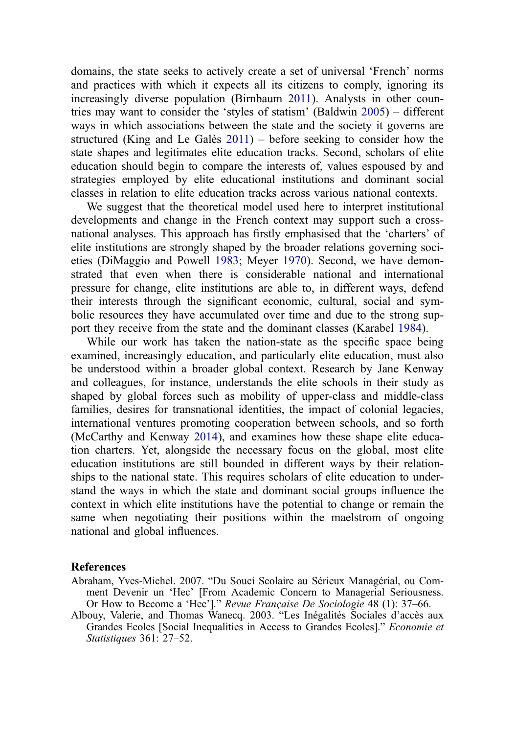<span id="page-19-0"></span>domains, the state seeks to actively create a set of universal 'French' norms and practices with which it expects all its citizens to comply, ignoring its increasingly diverse population (Birnbaum [2011\)](#page-20-0). Analysts in other countries may want to consider the 'styles of statism' (Baldwin [2005](#page-20-0)) – different ways in which associations between the state and the society it governs are structured (King and Le Galès [2011](#page-22-0)) – before seeking to consider how the state shapes and legitimates elite education tracks. Second, scholars of elite education should begin to compare the interests of, values espoused by and strategies employed by elite educational institutions and dominant social classes in relation to elite education tracks across various national contexts.

We suggest that the theoretical model used here to interpret institutional developments and change in the French context may support such a crossnational analyses. This approach has firstly emphasised that the 'charters' of elite institutions are strongly shaped by the broader relations governing societies (DiMaggio and Powell [1983;](#page-21-0) Meyer [1970\)](#page-23-0). Second, we have demonstrated that even when there is considerable national and international pressure for change, elite institutions are able to, in different ways, defend their interests through the significant economic, cultural, social and symbolic resources they have accumulated over time and due to the strong support they receive from the state and the dominant classes (Karabel [1984](#page-22-0)).

While our work has taken the nation-state as the specific space being examined, increasingly education, and particularly elite education, must also be understood within a broader global context. Research by Jane Kenway and colleagues, for instance, understands the elite schools in their study as shaped by global forces such as mobility of upper-class and middle-class families, desires for transnational identities, the impact of colonial legacies, international ventures promoting cooperation between schools, and so forth (McCarthy and Kenway [2014\)](#page-23-0), and examines how these shape elite education charters. Yet, alongside the necessary focus on the global, most elite education institutions are still bounded in different ways by their relationships to the national state. This requires scholars of elite education to understand the ways in which the state and dominant social groups influence the context in which elite institutions have the potential to change or remain the same when negotiating their positions within the maelstrom of ongoing national and global influences.

#### References

- Abraham, Yves-Michel. 2007. "Du Souci Scolaire au Sérieux Managérial, ou Comment Devenir un 'Hec' [From Academic Concern to Managerial Seriousness. Or How to Become a 'Hec']." Revue Française De Sociologie 48 (1): 37–66.
- Albouy, Valerie, and Thomas Wanecq. 2003. "Les Inégalités Sociales d'accès aux Grandes Ecoles [Social Inequalities in Access to Grandes Ecoles]." Economie et Statistiques 361: 27–52.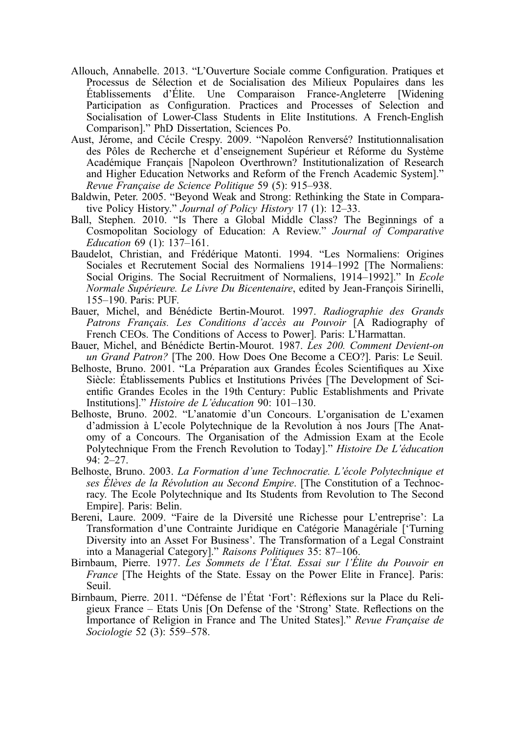- <span id="page-20-0"></span>Allouch, Annabelle. 2013. "L'Ouverture Sociale comme Configuration. Pratiques et Processus de Sélection et de Socialisation des Milieux Populaires dans les Établissements d'Élite. Une Comparaison France-Angleterre [Widening Participation as Configuration. Practices and Processes of Selection and Socialisation of Lower-Class Students in Elite Institutions. A French-English Comparison]." PhD Dissertation, Sciences Po.
- Aust, Jérome, and Cécile Crespy. 2009. "Napoléon Renversé? Institutionnalisation des Pôles de Recherche et d'enseignement Supérieur et Réforme du Système Académique Français [Napoleon Overthrown? Institutionalization of Research and Higher Education Networks and Reform of the French Academic System]." Revue Française de Science Politique 59 (5): 915–938.
- Baldwin, Peter. 2005. "Beyond Weak and Strong: Rethinking the State in Comparative Policy History." Journal of Policy History 17 (1): 12–33.
- Ball, Stephen. 2010. "Is There a Global Middle Class? The Beginnings of a Cosmopolitan Sociology of Education: A Review." Journal of Comparative Education 69 (1): 137–161.
- Baudelot, Christian, and Frédérique Matonti. 1994. "Les Normaliens: Origines Sociales et Recrutement Social des Normaliens 1914–1992 [The Normaliens: Social Origins. The Social Recruitment of Normaliens, 1914–1992]." In Ecole Normale Supérieure. Le Livre Du Bicentenaire, edited by Jean-François Sirinelli, 155–190. Paris: PUF.
- Bauer, Michel, and Bénédicte Bertin-Mourot. 1997. Radiographie des Grands Patrons Français. Les Conditions d'accès au Pouvoir [A Radiography of French CEOs. The Conditions of Access to Power]. Paris: L'Harmattan.
- Bauer, Michel, and Bénédicte Bertin-Mourot. 1987. Les 200. Comment Devient-on un Grand Patron? [The 200. How Does One Become a CEO?]. Paris: Le Seuil.
- Belhoste, Bruno. 2001. "La Préparation aux Grandes Écoles Scientifiques au Xixe Siècle: Établissements Publics et Institutions Privées [The Development of Scientific Grandes Ecoles in the 19th Century: Public Establishments and Private Institutions]." Histoire de L'éducation 90: 101–130.
- Belhoste, Bruno. 2002. "L'anatomie d'un Concours. L'organisation de L'examen d'admission à L'ecole Polytechnique de la Revolution à nos Jours [The Anatomy of a Concours. The Organisation of the Admission Exam at the Ecole Polytechnique From the French Revolution to Today]." Histoire De L'éducation 94: 2–27.
- Belhoste, Bruno. 2003. La Formation d'une Technocratie. L'école Polytechnique et ses Élèves de la Révolution au Second Empire. [The Constitution of a Technocracy. The Ecole Polytechnique and Its Students from Revolution to The Second Empire]. Paris: Belin.
- Bereni, Laure. 2009. "Faire de la Diversité une Richesse pour L'entreprise': La Transformation d'une Contrainte Juridique en Catégorie Managériale ['Turning Diversity into an Asset For Business'. The Transformation of a Legal Constraint into a Managerial Category]." Raisons Politiques 35: 87–106.
- Birnbaum, Pierre. 1977. Les Sommets de l'État. Essai sur l'Élite du Pouvoir en France [The Heights of the State. Essay on the Power Elite in France]. Paris: Seuil.
- Birnbaum, Pierre. 2011. "Défense de l'État 'Fort': Réflexions sur la Place du Religieux France – Etats Unis [On Defense of the 'Strong' State. Reflections on the Importance of Religion in France and The United States]." Revue Française de Sociologie 52 (3): 559–578.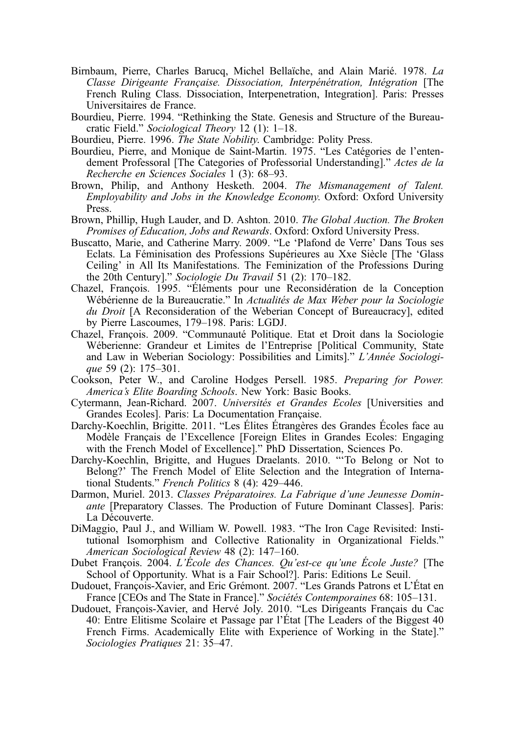- <span id="page-21-0"></span>Birnbaum, Pierre, Charles Barucq, Michel Bellaïche, and Alain Marié. 1978. La Classe Dirigeante Française. Dissociation, Interpénétration, Intégration [The French Ruling Class. Dissociation, Interpenetration, Integration]. Paris: Presses Universitaires de France.
- Bourdieu, Pierre. 1994. "Rethinking the State. Genesis and Structure of the Bureaucratic Field." Sociological Theory 12 (1): 1–18.
- Bourdieu, Pierre. 1996. The State Nobility. Cambridge: Polity Press.
- Bourdieu, Pierre, and Monique de Saint-Martin. 1975. "Les Catégories de l'entendement Professoral [The Categories of Professorial Understanding]." Actes de la Recherche en Sciences Sociales 1 (3): 68–93.
- Brown, Philip, and Anthony Hesketh. 2004. The Mismanagement of Talent. Employability and Jobs in the Knowledge Economy. Oxford: Oxford University Press.
- Brown, Phillip, Hugh Lauder, and D. Ashton. 2010. The Global Auction. The Broken Promises of Education, Jobs and Rewards. Oxford: Oxford University Press.
- Buscatto, Marie, and Catherine Marry. 2009. "Le 'Plafond de Verre' Dans Tous ses Eclats. La Féminisation des Professions Supérieures au Xxe Siècle [The 'Glass Ceiling' in All Its Manifestations. The Feminization of the Professions During the 20th Century]." Sociologie Du Travail 51 (2): 170–182.
- Chazel, François. 1995. "Éléments pour une Reconsidération de la Conception Wébérienne de la Bureaucratie." In Actualités de Max Weber pour la Sociologie du Droit [A Reconsideration of the Weberian Concept of Bureaucracy], edited by Pierre Lascoumes, 179–198. Paris: LGDJ.
- Chazel, François. 2009. "Communauté Politique. Etat et Droit dans la Sociologie Wéberienne: Grandeur et Limites de l'Entreprise [Political Community, State and Law in Weberian Sociology: Possibilities and Limits]." L'Année Sociologique 59 (2): 175–301.
- Cookson, Peter W., and Caroline Hodges Persell. 1985. Preparing for Power. America's Elite Boarding Schools. New York: Basic Books.
- Cytermann, Jean-Richard. 2007. Universités et Grandes Ecoles [Universities and Grandes Ecoles]. Paris: La Documentation Française.
- Darchy-Koechlin, Brigitte. 2011. "Les Élites Étrangères des Grandes Écoles face au Modèle Français de l'Excellence [Foreign Elites in Grandes Ecoles: Engaging with the French Model of Excellence]." PhD Dissertation, Sciences Po.
- Darchy-Koechlin, Brigitte, and Hugues Draelants. 2010. "'To Belong or Not to Belong?' The French Model of Elite Selection and the Integration of International Students." French Politics 8 (4): 429–446.
- Darmon, Muriel. 2013. Classes Préparatoires. La Fabrique d'une Jeunesse Dominante [Preparatory Classes. The Production of Future Dominant Classes]. Paris: La Découverte.
- DiMaggio, Paul J., and William W. Powell. 1983. "The Iron Cage Revisited: Institutional Isomorphism and Collective Rationality in Organizational Fields." American Sociological Review 48 (2): 147–160.
- Dubet François. 2004. L'École des Chances. Qu'est-ce qu'une École Juste? [The School of Opportunity. What is a Fair School?]. Paris: Editions Le Seuil.
- Dudouet, François-Xavier, and Eric Grémont. 2007. "Les Grands Patrons et L'État en France [CEOs and The State in France]." Sociétés Contemporaines 68: 105–131.
- Dudouet, François-Xavier, and Hervé Joly. 2010. "Les Dirigeants Français du Cac 40: Entre Elitisme Scolaire et Passage par l'État [The Leaders of the Biggest 40 French Firms. Academically Elite with Experience of Working in the State]." Sociologies Pratiques 21: 35–47.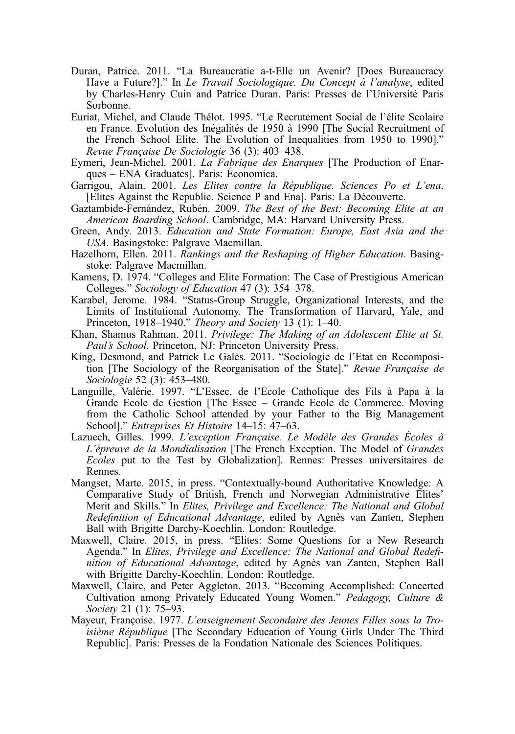- <span id="page-22-0"></span>Duran, Patrice. 2011. "La Bureaucratie a-t-Elle un Avenir? [Does Bureaucracy Have a Future?]." In *Le Travail Sociologique. Du Concept à l'analyse*, edited by Charles-Henry Cuin and Patrice Duran. Paris: Presses de l'Université Paris Sorbonne.
- Euriat, Michel, and Claude Thélot. 1995. "Le Recrutement Social de l'élite Scolaire en France. Evolution des Inégalités de 1950 à 1990 [The Social Recruitment of the French School Elite. The Evolution of Inequalities from 1950 to 1990]." Revue Française De Sociologie 36 (3): 403–438.
- Eymeri, Jean-Michel. 2001. La Fabrique des Enarques [The Production of Enarques – ENA Graduates]. Paris: Économica.
- Garrigou, Alain. 2001. Les Elites contre la République. Sciences Po et L'ena. [Elites Against the Republic. Science P and Ena]. Paris: La Découverte.
- Gaztambide-Fernández, Rubén. 2009. The Best of the Best: Becoming Elite at an American Boarding School. Cambridge, MA: Harvard University Press.
- Green, Andy. 2013. Education and State Formation: Europe, East Asia and the USA. Basingstoke: Palgrave Macmillan.
- Hazelhorn, Ellen. 2011. Rankings and the Reshaping of Higher Education. Basingstoke: Palgrave Macmillan.
- Kamens, D. 1974. "Colleges and Elite Formation: The Case of Prestigious American Colleges." Sociology of Education 47 (3): 354–378.
- Karabel, Jerome. 1984. "Status-Group Struggle, Organizational Interests, and the Limits of Institutional Autonomy. The Transformation of Harvard, Yale, and Princeton, 1918–1940." Theory and Society 13 (1): 1–40.
- Khan, Shamus Rahman. 2011. Privilege: The Making of an Adolescent Elite at St. Paul's School. Princeton, NJ: Princeton University Press.
- King, Desmond, and Patrick Le Galès. 2011. "Sociologie de l'Etat en Recomposition [The Sociology of the Reorganisation of the State]." Revue Française de Sociologie 52 (3): 453–480.
- Languille, Valérie. 1997. "L'Essec, de l'Ecole Catholique des Fils à Papa à la Grande Ecole de Gestion [The Essec – Grande Ecole de Commerce. Moving from the Catholic School attended by your Father to the Big Management School]." Entreprises Et Histoire 14–15: 47–63.
- Lazuech, Gilles. 1999. L'exception Française. Le Modèle des Grandes Écoles à L'épreuve de la Mondialisation [The French Exception. The Model of Grandes Ecoles put to the Test by Globalization]. Rennes: Presses universitaires de Rennes.
- Mangset, Marte. 2015, in press. "Contextually-bound Authoritative Knowledge: A Comparative Study of British, French and Norwegian Administrative Elites' Merit and Skills." In Elites, Privilege and Excellence: The National and Global Redefinition of Educational Advantage, edited by Agnès van Zanten, Stephen Ball with Brigitte Darchy-Koechlin. London: Routledge.
- Maxwell, Claire. 2015, in press. "Elites: Some Questions for a New Research Agenda." In Elites, Privilege and Excellence: The National and Global Redefinition of Educational Advantage, edited by Agnès van Zanten, Stephen Ball with Brigitte Darchy-Koechlin. London: Routledge.
- Maxwell, Claire, and Peter Aggleton. 2013. "Becoming Accomplished: Concerted Cultivation among Privately Educated Young Women." Pedagogy, Culture & Society 21 (1): 75–93.
- Mayeur, Françoise. 1977. L'enseignement Secondaire des Jeunes Filles sous la Troisième République [The Secondary Education of Young Girls Under The Third Republic]. Paris: Presses de la Fondation Nationale des Sciences Politiques.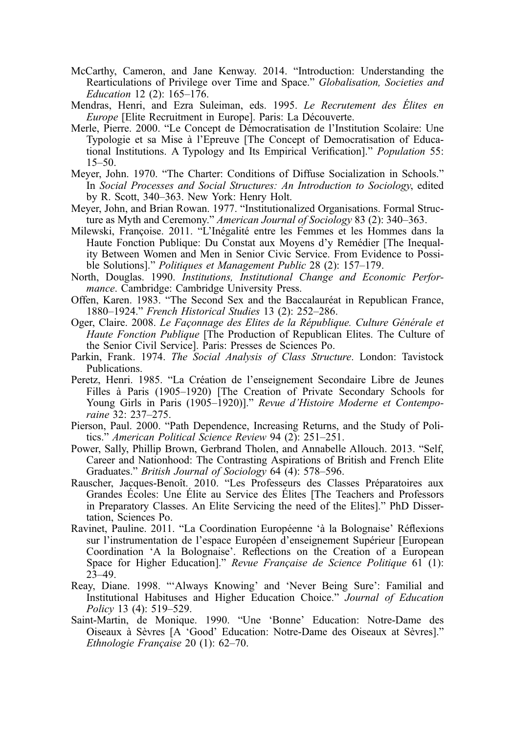- <span id="page-23-0"></span>McCarthy, Cameron, and Jane Kenway. 2014. "Introduction: Understanding the Rearticulations of Privilege over Time and Space." Globalisation, Societies and Education 12 (2): 165–176.
- Mendras, Henri, and Ezra Suleiman, eds. 1995. Le Recrutement des Élites en Europe [Elite Recruitment in Europe]. Paris: La Découverte.
- Merle, Pierre. 2000. "Le Concept de Démocratisation de l'Institution Scolaire: Une Typologie et sa Mise à l'Epreuve [The Concept of Democratisation of Educational Institutions. A Typology and Its Empirical Verification]." Population 55: 15–50.
- Meyer, John. 1970. "The Charter: Conditions of Diffuse Socialization in Schools." In Social Processes and Social Structures: An Introduction to Sociology, edited by R. Scott, 340–363. New York: Henry Holt.
- Meyer, John, and Brian Rowan. 1977. "Institutionalized Organisations. Formal Structure as Myth and Ceremony." American Journal of Sociology 83 (2): 340–363.
- Milewski, Françoise. 2011. "L'Inégalité entre les Femmes et les Hommes dans la Haute Fonction Publique: Du Constat aux Moyens d'y Remédier [The Inequality Between Women and Men in Senior Civic Service. From Evidence to Possible Solutions]." Politiques et Management Public 28 (2): 157–179.
- North, Douglas. 1990. Institutions, Institutional Change and Economic Performance. Cambridge: Cambridge University Press.
- Offen, Karen. 1983. "The Second Sex and the Baccalauréat in Republican France, 1880–1924." French Historical Studies 13 (2): 252–286.
- Oger, Claire. 2008. Le Façonnage des Elites de la République. Culture Générale et Haute Fonction Publique [The Production of Republican Elites. The Culture of the Senior Civil Service]. Paris: Presses de Sciences Po.
- Parkin, Frank. 1974. The Social Analysis of Class Structure. London: Tavistock Publications.
- Peretz, Henri. 1985. "La Création de l'enseignement Secondaire Libre de Jeunes Filles à Paris (1905–1920) [The Creation of Private Secondary Schools for Young Girls in Paris (1905–1920)]." Revue d'Histoire Moderne et Contemporaine 32: 237–275.
- Pierson, Paul. 2000. "Path Dependence, Increasing Returns, and the Study of Politics." American Political Science Review 94 (2): 251–251.
- Power, Sally, Phillip Brown, Gerbrand Tholen, and Annabelle Allouch. 2013. "Self, Career and Nationhood: The Contrasting Aspirations of British and French Elite Graduates." British Journal of Sociology 64 (4): 578–596.
- Rauscher, Jacques-Benoît. 2010. "Les Professeurs des Classes Préparatoires aux Grandes Écoles: Une Élite au Service des Élites [The Teachers and Professors in Preparatory Classes. An Elite Servicing the need of the Elites]." PhD Dissertation, Sciences Po.
- Ravinet, Pauline. 2011. "La Coordination Européenne 'à la Bolognaise' Réflexions sur l'instrumentation de l'espace Européen d'enseignement Supérieur [European Coordination 'A la Bolognaise'. Reflections on the Creation of a European Space for Higher Education]." Revue Française de Science Politique 61 (1): 23–49.
- Reay, Diane. 1998. "'Always Knowing' and 'Never Being Sure': Familial and Institutional Habituses and Higher Education Choice." Journal of Education Policy 13 (4): 519–529.
- Saint-Martin, de Monique. 1990. "Une 'Bonne' Education: Notre-Dame des Oiseaux à Sèvres [A 'Good' Education: Notre-Dame des Oiseaux at Sèvres]." Ethnologie Française 20 (1): 62–70.